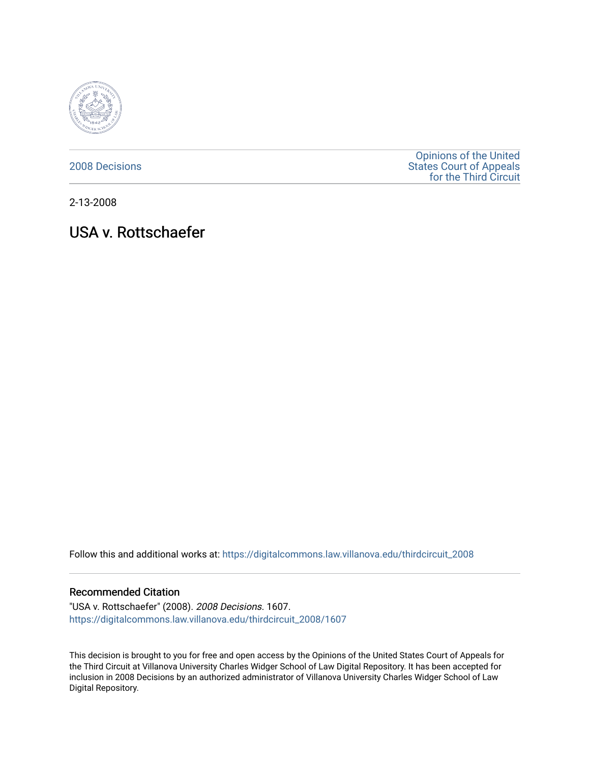

[2008 Decisions](https://digitalcommons.law.villanova.edu/thirdcircuit_2008)

[Opinions of the United](https://digitalcommons.law.villanova.edu/thirdcircuit)  [States Court of Appeals](https://digitalcommons.law.villanova.edu/thirdcircuit)  [for the Third Circuit](https://digitalcommons.law.villanova.edu/thirdcircuit) 

2-13-2008

# USA v. Rottschaefer

Follow this and additional works at: [https://digitalcommons.law.villanova.edu/thirdcircuit\\_2008](https://digitalcommons.law.villanova.edu/thirdcircuit_2008?utm_source=digitalcommons.law.villanova.edu%2Fthirdcircuit_2008%2F1607&utm_medium=PDF&utm_campaign=PDFCoverPages) 

## Recommended Citation

"USA v. Rottschaefer" (2008). 2008 Decisions. 1607. [https://digitalcommons.law.villanova.edu/thirdcircuit\\_2008/1607](https://digitalcommons.law.villanova.edu/thirdcircuit_2008/1607?utm_source=digitalcommons.law.villanova.edu%2Fthirdcircuit_2008%2F1607&utm_medium=PDF&utm_campaign=PDFCoverPages) 

This decision is brought to you for free and open access by the Opinions of the United States Court of Appeals for the Third Circuit at Villanova University Charles Widger School of Law Digital Repository. It has been accepted for inclusion in 2008 Decisions by an authorized administrator of Villanova University Charles Widger School of Law Digital Repository.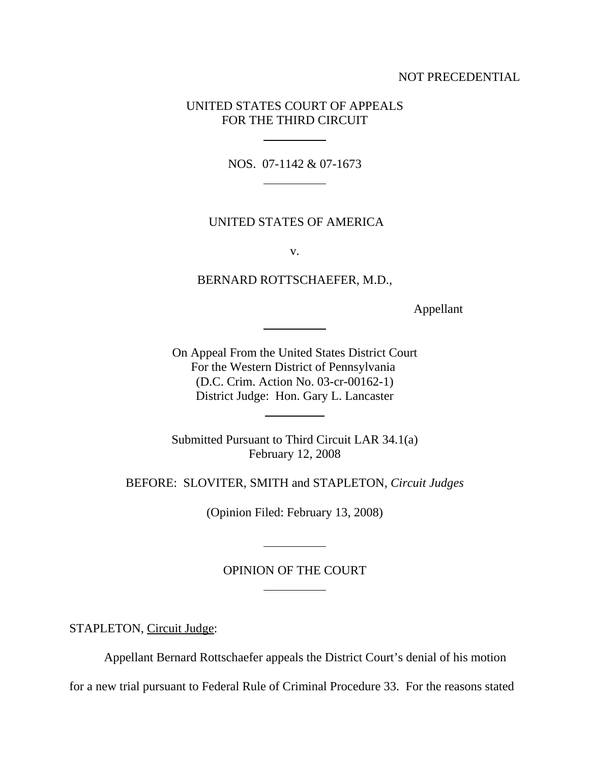# NOT PRECEDENTIAL

# UNITED STATES COURT OF APPEALS FOR THE THIRD CIRCUIT

 $\overline{a}$ 

 $\overline{a}$ 

 $\overline{a}$ 

 $\overline{a}$ 

 $\overline{a}$ 

 $\overline{a}$ 

NOS. 07-1142 & 07-1673

## UNITED STATES OF AMERICA

v.

BERNARD ROTTSCHAEFER, M.D.,

Appellant

On Appeal From the United States District Court For the Western District of Pennsylvania (D.C. Crim. Action No. 03-cr-00162-1) District Judge: Hon. Gary L. Lancaster

Submitted Pursuant to Third Circuit LAR 34.1(a) February 12, 2008

BEFORE: SLOVITER, SMITH and STAPLETON, *Circuit Judges*

(Opinion Filed: February 13, 2008)

## OPINION OF THE COURT

STAPLETON, Circuit Judge:

Appellant Bernard Rottschaefer appeals the District Court's denial of his motion

for a new trial pursuant to Federal Rule of Criminal Procedure 33. For the reasons stated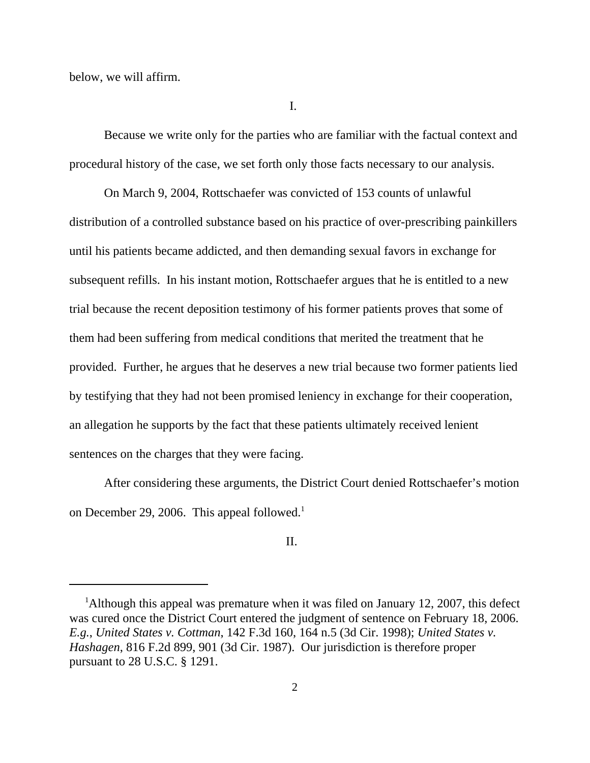below, we will affirm.

I.

Because we write only for the parties who are familiar with the factual context and procedural history of the case, we set forth only those facts necessary to our analysis.

On March 9, 2004, Rottschaefer was convicted of 153 counts of unlawful distribution of a controlled substance based on his practice of over-prescribing painkillers until his patients became addicted, and then demanding sexual favors in exchange for subsequent refills. In his instant motion, Rottschaefer argues that he is entitled to a new trial because the recent deposition testimony of his former patients proves that some of them had been suffering from medical conditions that merited the treatment that he provided. Further, he argues that he deserves a new trial because two former patients lied by testifying that they had not been promised leniency in exchange for their cooperation, an allegation he supports by the fact that these patients ultimately received lenient sentences on the charges that they were facing.

After considering these arguments, the District Court denied Rottschaefer's motion on December 29, 2006. This appeal followed.<sup>1</sup>

# II.

<sup>&</sup>lt;sup>1</sup>Although this appeal was premature when it was filed on January 12, 2007, this defect was cured once the District Court entered the judgment of sentence on February 18, 2006. *E.g.*, *United States v. Cottman*, 142 F.3d 160, 164 n.5 (3d Cir. 1998); *United States v. Hashagen*, 816 F.2d 899, 901 (3d Cir. 1987). Our jurisdiction is therefore proper pursuant to 28 U.S.C. § 1291.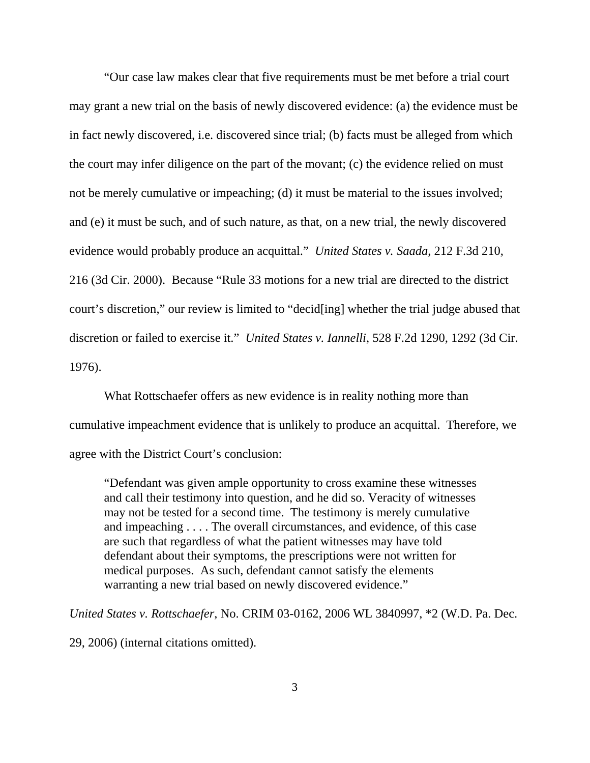"Our case law makes clear that five requirements must be met before a trial court may grant a new trial on the basis of newly discovered evidence: (a) the evidence must be in fact newly discovered, i.e. discovered since trial; (b) facts must be alleged from which the court may infer diligence on the part of the movant; (c) the evidence relied on must not be merely cumulative or impeaching; (d) it must be material to the issues involved; and (e) it must be such, and of such nature, as that, on a new trial, the newly discovered evidence would probably produce an acquittal." *United States v. Saada*, 212 F.3d 210, 216 (3d Cir. 2000). Because "Rule 33 motions for a new trial are directed to the district court's discretion," our review is limited to "decid[ing] whether the trial judge abused that discretion or failed to exercise it." *United States v. Iannelli*, 528 F.2d 1290, 1292 (3d Cir. 1976).

What Rottschaefer offers as new evidence is in reality nothing more than cumulative impeachment evidence that is unlikely to produce an acquittal. Therefore, we agree with the District Court's conclusion:

"Defendant was given ample opportunity to cross examine these witnesses and call their testimony into question, and he did so. Veracity of witnesses may not be tested for a second time. The testimony is merely cumulative and impeaching . . . . The overall circumstances, and evidence, of this case are such that regardless of what the patient witnesses may have told defendant about their symptoms, the prescriptions were not written for medical purposes. As such, defendant cannot satisfy the elements warranting a new trial based on newly discovered evidence."

*United States v. Rottschaefer*, No. CRIM 03-0162, 2006 WL 3840997, \*2 (W.D. Pa. Dec.

29, 2006) (internal citations omitted).